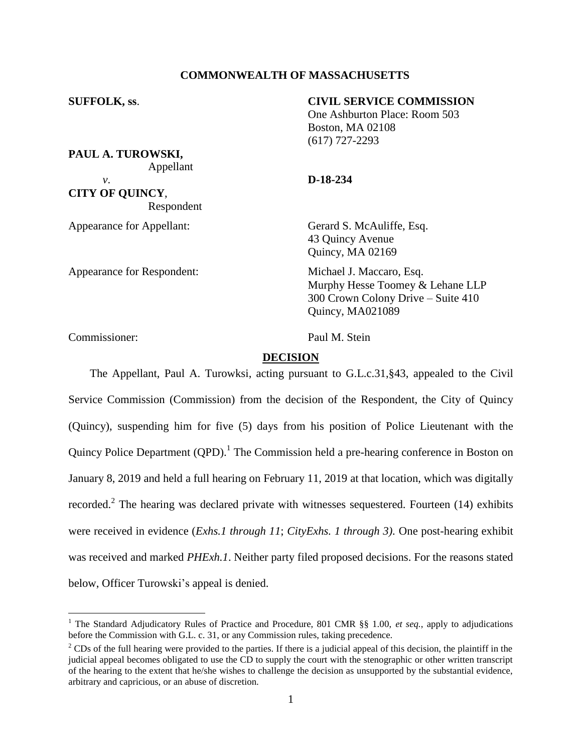# **COMMONWEALTH OF MASSACHUSETTS**

# **SUFFOLK, ss**. **CIVIL SERVICE COMMISSION**

One Ashburton Place: Room 503 Boston, MA 02108 (617) 727-2293

*v*. **D-18-234 CITY OF QUINCY**, Respondent

Appellant

**PAUL A. TUROWSKI,**

Appearance for Appellant: Gerard S. McAuliffe, Esq. 43 Quincy Avenue Quincy, MA 02169

Appearance for Respondent: Michael J. Maccaro, Esq. Murphy Hesse Toomey & Lehane LLP 300 Crown Colony Drive – Suite 410 Quincy, MA021089

Commissioner: Paul M. Stein

 $\overline{a}$ 

## **DECISION**

The Appellant, Paul A. Turowksi, acting pursuant to G.L.c.31,§43, appealed to the Civil Service Commission (Commission) from the decision of the Respondent, the City of Quincy (Quincy), suspending him for five (5) days from his position of Police Lieutenant with the Quincy Police Department  $(QPD)$ .<sup>1</sup> The Commission held a pre-hearing conference in Boston on January 8, 2019 and held a full hearing on February 11, 2019 at that location, which was digitally recorded.<sup>2</sup> The hearing was declared private with witnesses sequestered. Fourteen (14) exhibits were received in evidence (*Exhs.1 through 11*; *CityExhs. 1 through 3).* One post-hearing exhibit was received and marked *PHExh.1*. Neither party filed proposed decisions. For the reasons stated below, Officer Turowski's appeal is denied.

<sup>&</sup>lt;sup>1</sup> The Standard Adjudicatory Rules of Practice and Procedure, 801 CMR §§ 1.00, *et seq.*, apply to adjudications before the Commission with G.L. c. 31, or any Commission rules, taking precedence.

 $2^2$  CDs of the full hearing were provided to the parties. If there is a judicial appeal of this decision, the plaintiff in the judicial appeal becomes obligated to use the CD to supply the court with the stenographic or other written transcript of the hearing to the extent that he/she wishes to challenge the decision as unsupported by the substantial evidence, arbitrary and capricious, or an abuse of discretion.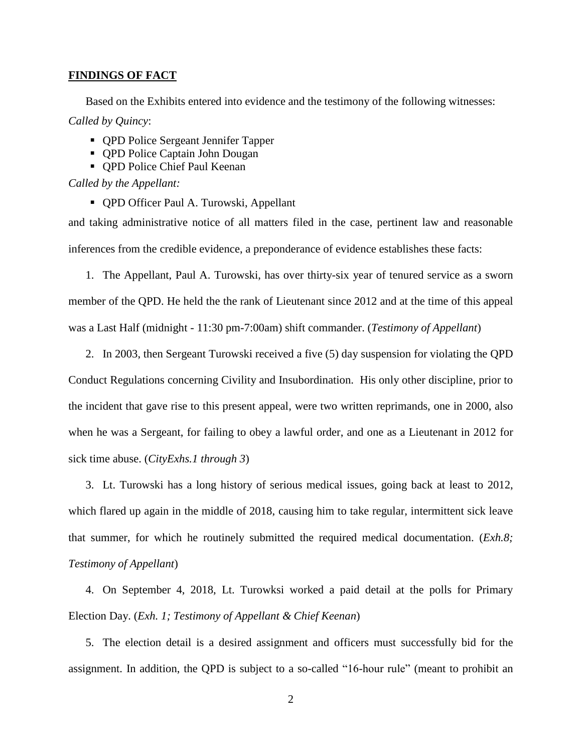### **FINDINGS OF FACT**

Based on the Exhibits entered into evidence and the testimony of the following witnesses: *Called by Quincy*:

- **OPD Police Sergeant Jennifer Tapper**
- QPD Police Captain John Dougan
- QPD Police Chief Paul Keenan

*Called by the Appellant:*

QPD Officer Paul A. Turowski, Appellant

and taking administrative notice of all matters filed in the case, pertinent law and reasonable inferences from the credible evidence, a preponderance of evidence establishes these facts:

1. The Appellant, Paul A. Turowski, has over thirty-six year of tenured service as a sworn member of the QPD. He held the the rank of Lieutenant since 2012 and at the time of this appeal was a Last Half (midnight - 11:30 pm-7:00am) shift commander. (*Testimony of Appellant*)

2. In 2003, then Sergeant Turowski received a five (5) day suspension for violating the QPD

Conduct Regulations concerning Civility and Insubordination. His only other discipline, prior to the incident that gave rise to this present appeal, were two written reprimands, one in 2000, also when he was a Sergeant, for failing to obey a lawful order, and one as a Lieutenant in 2012 for sick time abuse. (*CityExhs.1 through 3*)

3. Lt. Turowski has a long history of serious medical issues, going back at least to 2012, which flared up again in the middle of 2018, causing him to take regular, intermittent sick leave that summer, for which he routinely submitted the required medical documentation. (*Exh.8; Testimony of Appellant*)

4. On September 4, 2018, Lt. Turowksi worked a paid detail at the polls for Primary Election Day. (*Exh. 1; Testimony of Appellant & Chief Keenan*)

5. The election detail is a desired assignment and officers must successfully bid for the assignment. In addition, the QPD is subject to a so-called "16-hour rule" (meant to prohibit an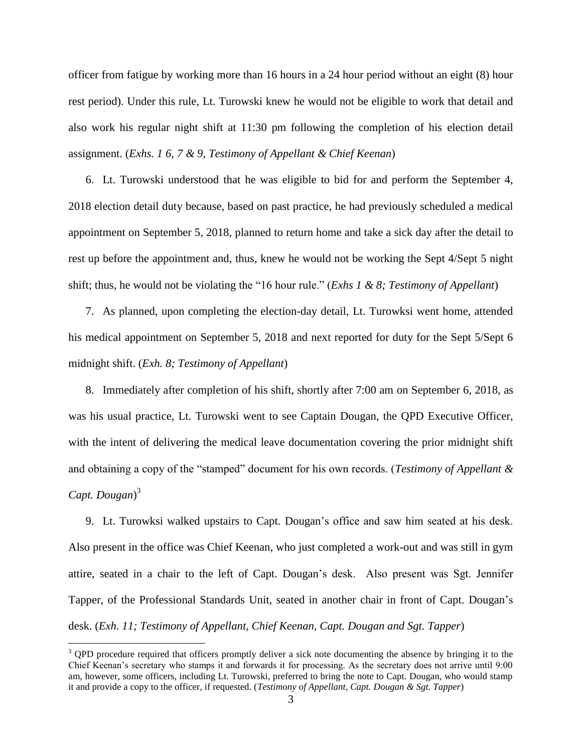officer from fatigue by working more than 16 hours in a 24 hour period without an eight (8) hour rest period). Under this rule, Lt. Turowski knew he would not be eligible to work that detail and also work his regular night shift at 11:30 pm following the completion of his election detail assignment. (*Exhs. 1 6, 7 & 9, Testimony of Appellant & Chief Keenan*)

6. Lt. Turowski understood that he was eligible to bid for and perform the September 4, 2018 election detail duty because, based on past practice, he had previously scheduled a medical appointment on September 5, 2018, planned to return home and take a sick day after the detail to rest up before the appointment and, thus, knew he would not be working the Sept 4/Sept 5 night shift; thus, he would not be violating the "16 hour rule." (*Exhs 1 & 8; Testimony of Appellant*)

7. As planned, upon completing the election-day detail, Lt. Turowksi went home, attended his medical appointment on September 5, 2018 and next reported for duty for the Sept 5/Sept 6 midnight shift. (*Exh. 8; Testimony of Appellant*)

8. Immediately after completion of his shift, shortly after 7:00 am on September 6, 2018, as was his usual practice, Lt. Turowski went to see Captain Dougan, the QPD Executive Officer, with the intent of delivering the medical leave documentation covering the prior midnight shift and obtaining a copy of the "stamped" document for his own records. (*Testimony of Appellant & Capt. Dougan*) 3

9. Lt. Turowksi walked upstairs to Capt. Dougan's office and saw him seated at his desk. Also present in the office was Chief Keenan, who just completed a work-out and was still in gym attire, seated in a chair to the left of Capt. Dougan's desk. Also present was Sgt. Jennifer Tapper, of the Professional Standards Unit, seated in another chair in front of Capt. Dougan's desk. (*Exh. 11; Testimony of Appellant, Chief Keenan, Capt. Dougan and Sgt. Tapper*)

 $\overline{a}$ 

 $3$  QPD procedure required that officers promptly deliver a sick note documenting the absence by bringing it to the Chief Keenan's secretary who stamps it and forwards it for processing. As the secretary does not arrive until 9:00 am, however, some officers, including Lt. Turowski, preferred to bring the note to Capt. Dougan, who would stamp it and provide a copy to the officer, if requested. (*Testimony of Appellant, Capt. Dougan & Sgt. Tapper*)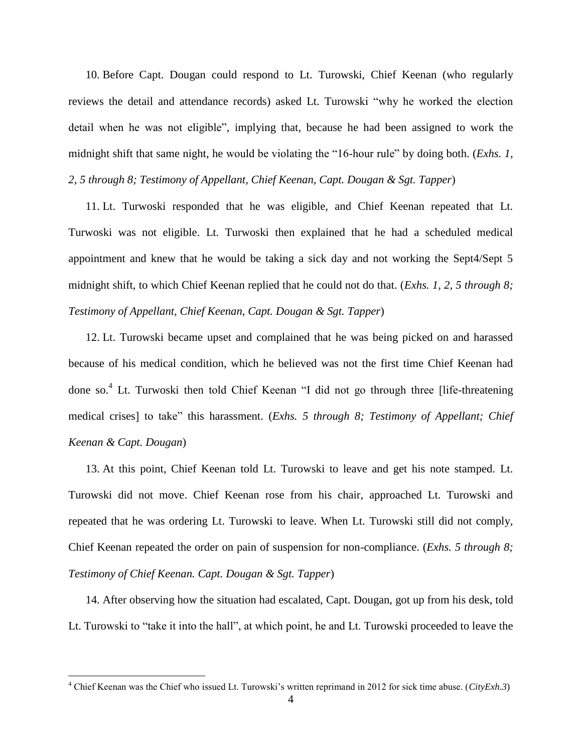10. Before Capt. Dougan could respond to Lt. Turowski, Chief Keenan (who regularly reviews the detail and attendance records) asked Lt. Turowski "why he worked the election detail when he was not eligible", implying that, because he had been assigned to work the midnight shift that same night, he would be violating the "16-hour rule" by doing both. (*Exhs. 1, 2, 5 through 8; Testimony of Appellant, Chief Keenan, Capt. Dougan & Sgt. Tapper*)

11. Lt. Turwoski responded that he was eligible, and Chief Keenan repeated that Lt. Turwoski was not eligible. Lt. Turwoski then explained that he had a scheduled medical appointment and knew that he would be taking a sick day and not working the Sept4/Sept 5 midnight shift, to which Chief Keenan replied that he could not do that. (*Exhs. 1, 2, 5 through 8; Testimony of Appellant, Chief Keenan, Capt. Dougan & Sgt. Tapper*)

12. Lt. Turowski became upset and complained that he was being picked on and harassed because of his medical condition, which he believed was not the first time Chief Keenan had done so.<sup>4</sup> Lt. Turwoski then told Chief Keenan "I did not go through three [life-threatening medical crises] to take" this harassment. (*Exhs. 5 through 8; Testimony of Appellant; Chief Keenan & Capt. Dougan*)

13. At this point, Chief Keenan told Lt. Turowski to leave and get his note stamped. Lt. Turowski did not move. Chief Keenan rose from his chair, approached Lt. Turowski and repeated that he was ordering Lt. Turowski to leave. When Lt. Turowski still did not comply, Chief Keenan repeated the order on pain of suspension for non-compliance. (*Exhs. 5 through 8; Testimony of Chief Keenan. Capt. Dougan & Sgt. Tapper*)

14. After observing how the situation had escalated, Capt. Dougan, got up from his desk, told Lt. Turowski to "take it into the hall", at which point, he and Lt. Turowski proceeded to leave the

 $\overline{a}$ 

<sup>4</sup> Chief Keenan was the Chief who issued Lt. Turowski's written reprimand in 2012 for sick time abuse. (*CityExh.3*)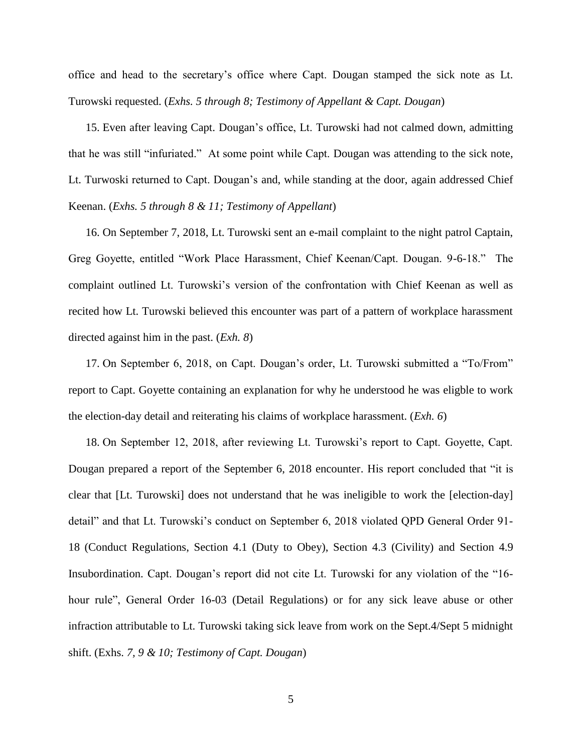office and head to the secretary's office where Capt. Dougan stamped the sick note as Lt. Turowski requested. (*Exhs. 5 through 8; Testimony of Appellant & Capt. Dougan*)

15. Even after leaving Capt. Dougan's office, Lt. Turowski had not calmed down, admitting that he was still "infuriated." At some point while Capt. Dougan was attending to the sick note, Lt. Turwoski returned to Capt. Dougan's and, while standing at the door, again addressed Chief Keenan. (*Exhs. 5 through 8 & 11; Testimony of Appellant*)

16. On September 7, 2018, Lt. Turowski sent an e-mail complaint to the night patrol Captain, Greg Goyette, entitled "Work Place Harassment, Chief Keenan/Capt. Dougan. 9-6-18." The complaint outlined Lt. Turowski's version of the confrontation with Chief Keenan as well as recited how Lt. Turowski believed this encounter was part of a pattern of workplace harassment directed against him in the past. (*Exh. 8*)

17. On September 6, 2018, on Capt. Dougan's order, Lt. Turowski submitted a "To/From" report to Capt. Goyette containing an explanation for why he understood he was eligble to work the election-day detail and reiterating his claims of workplace harassment. (*Exh. 6*)

18. On September 12, 2018, after reviewing Lt. Turowski's report to Capt. Goyette, Capt. Dougan prepared a report of the September 6, 2018 encounter. His report concluded that "it is clear that [Lt. Turowski] does not understand that he was ineligible to work the [election-day] detail" and that Lt. Turowski's conduct on September 6, 2018 violated QPD General Order 91- 18 (Conduct Regulations, Section 4.1 (Duty to Obey), Section 4.3 (Civility) and Section 4.9 Insubordination. Capt. Dougan's report did not cite Lt. Turowski for any violation of the "16 hour rule", General Order 16-03 (Detail Regulations) or for any sick leave abuse or other infraction attributable to Lt. Turowski taking sick leave from work on the Sept.4/Sept 5 midnight shift. (Exhs. *7, 9 & 10; Testimony of Capt. Dougan*)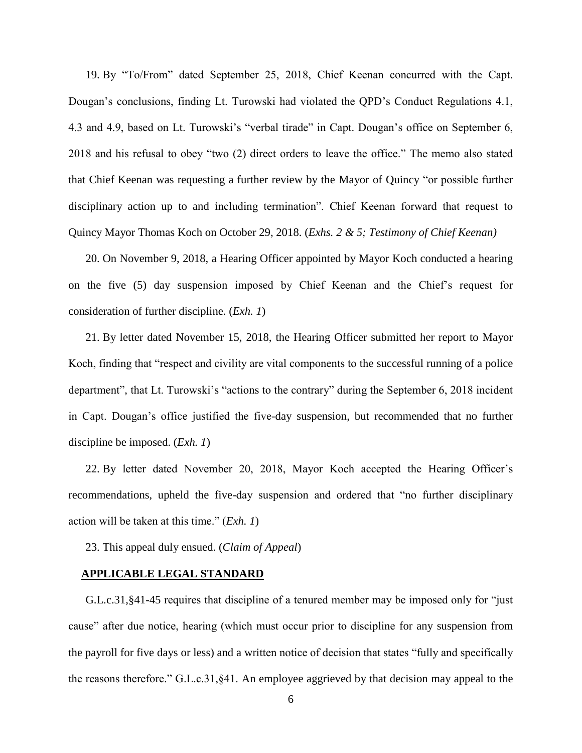19. By "To/From" dated September 25, 2018, Chief Keenan concurred with the Capt. Dougan's conclusions, finding Lt. Turowski had violated the QPD's Conduct Regulations 4.1, 4.3 and 4.9, based on Lt. Turowski's "verbal tirade" in Capt. Dougan's office on September 6, 2018 and his refusal to obey "two (2) direct orders to leave the office." The memo also stated that Chief Keenan was requesting a further review by the Mayor of Quincy "or possible further disciplinary action up to and including termination". Chief Keenan forward that request to Quincy Mayor Thomas Koch on October 29, 2018. (*Exhs. 2 & 5; Testimony of Chief Keenan)*

20. On November 9, 2018, a Hearing Officer appointed by Mayor Koch conducted a hearing on the five (5) day suspension imposed by Chief Keenan and the Chief's request for consideration of further discipline. (*Exh. 1*)

21. By letter dated November 15, 2018, the Hearing Officer submitted her report to Mayor Koch, finding that "respect and civility are vital components to the successful running of a police department", that Lt. Turowski's "actions to the contrary" during the September 6, 2018 incident in Capt. Dougan's office justified the five-day suspension, but recommended that no further discipline be imposed. (*Exh. 1*)

22. By letter dated November 20, 2018, Mayor Koch accepted the Hearing Officer's recommendations, upheld the five-day suspension and ordered that "no further disciplinary action will be taken at this time." (*Exh. 1*)

23. This appeal duly ensued. (*Claim of Appeal*)

### **APPLICABLE LEGAL STANDARD**

G.L.c.31,§41-45 requires that discipline of a tenured member may be imposed only for "just cause" after due notice, hearing (which must occur prior to discipline for any suspension from the payroll for five days or less) and a written notice of decision that states "fully and specifically the reasons therefore." G.L.c.31,§41. An employee aggrieved by that decision may appeal to the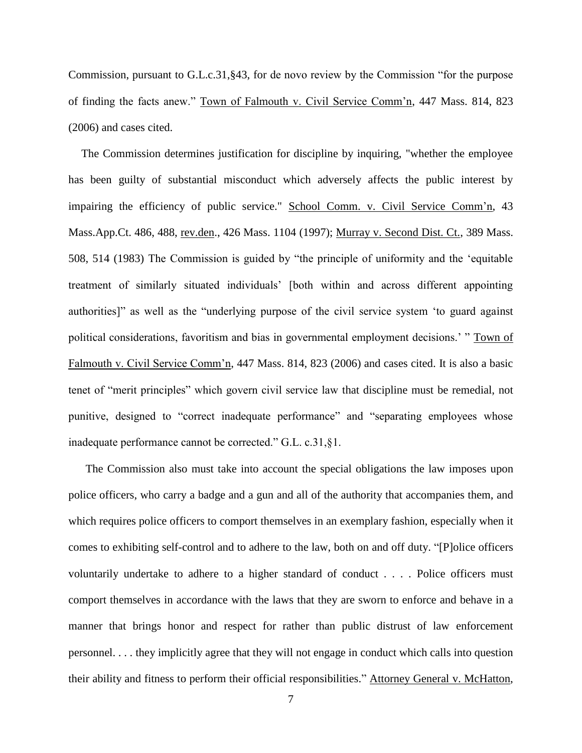Commission, pursuant to G.L.c.31,§43, for de novo review by the Commission "for the purpose of finding the facts anew." Town of Falmouth v. Civil Service Comm'n, 447 Mass. 814, 823 (2006) and cases cited.

The Commission determines justification for discipline by inquiring, "whether the employee has been guilty of substantial misconduct which adversely affects the public interest by impairing the efficiency of public service." School Comm. v. Civil Service Comm'n, 43 Mass.App.Ct. 486, 488, rev.den., 426 Mass. 1104 (1997); Murray v. Second Dist. Ct., 389 Mass. 508, 514 (1983) The Commission is guided by "the principle of uniformity and the 'equitable treatment of similarly situated individuals' [both within and across different appointing authorities]" as well as the "underlying purpose of the civil service system 'to guard against political considerations, favoritism and bias in governmental employment decisions.' " Town of Falmouth v. Civil Service Comm'n, 447 Mass. 814, 823 (2006) and cases cited. It is also a basic tenet of "merit principles" which govern civil service law that discipline must be remedial, not punitive, designed to "correct inadequate performance" and "separating employees whose inadequate performance cannot be corrected." G.L. c.31,§1.

The Commission also must take into account the special obligations the law imposes upon police officers, who carry a badge and a gun and all of the authority that accompanies them, and which requires police officers to comport themselves in an exemplary fashion, especially when it comes to exhibiting self-control and to adhere to the law, both on and off duty. "[P]olice officers voluntarily undertake to adhere to a higher standard of conduct . . . . Police officers must comport themselves in accordance with the laws that they are sworn to enforce and behave in a manner that brings honor and respect for rather than public distrust of law enforcement personnel. . . . they implicitly agree that they will not engage in conduct which calls into question their ability and fitness to perform their official responsibilities." Attorney General v. McHatton,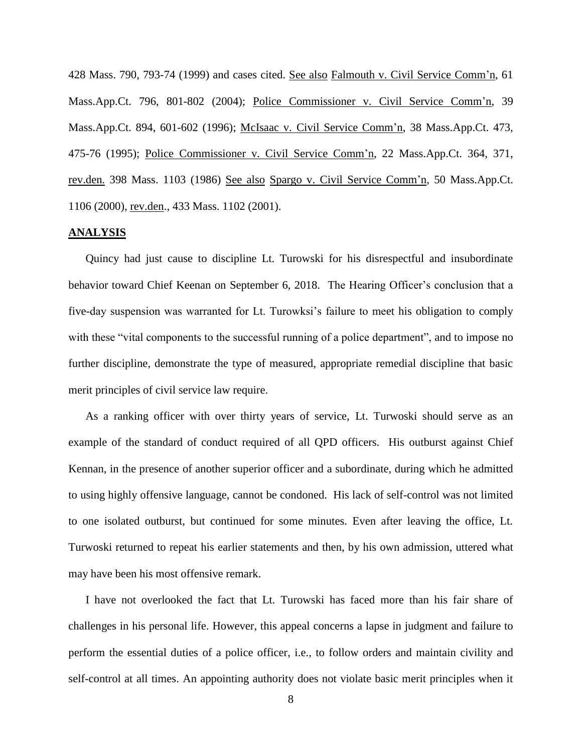428 Mass. 790, 793-74 (1999) and cases cited. See also Falmouth v. Civil Service Comm'n, 61 Mass.App.Ct. 796, 801-802 (2004); Police Commissioner v. Civil Service Comm'n, 39 Mass.App.Ct. 894, 601-602 (1996); McIsaac v. Civil Service Comm'n, 38 Mass.App.Ct. 473, 475-76 (1995); Police Commissioner v. Civil Service Comm'n, 22 Mass.App.Ct. 364, 371, rev.den. 398 Mass. 1103 (1986) See also Spargo v. Civil Service Comm'n, 50 Mass.App.Ct. 1106 (2000), rev.den., 433 Mass. 1102 (2001).

#### **ANALYSIS**

Quincy had just cause to discipline Lt. Turowski for his disrespectful and insubordinate behavior toward Chief Keenan on September 6, 2018. The Hearing Officer's conclusion that a five-day suspension was warranted for Lt. Turowksi's failure to meet his obligation to comply with these "vital components to the successful running of a police department", and to impose no further discipline, demonstrate the type of measured, appropriate remedial discipline that basic merit principles of civil service law require.

As a ranking officer with over thirty years of service, Lt. Turwoski should serve as an example of the standard of conduct required of all QPD officers. His outburst against Chief Kennan, in the presence of another superior officer and a subordinate, during which he admitted to using highly offensive language, cannot be condoned. His lack of self-control was not limited to one isolated outburst, but continued for some minutes. Even after leaving the office, Lt. Turwoski returned to repeat his earlier statements and then, by his own admission, uttered what may have been his most offensive remark.

I have not overlooked the fact that Lt. Turowski has faced more than his fair share of challenges in his personal life. However, this appeal concerns a lapse in judgment and failure to perform the essential duties of a police officer, i.e., to follow orders and maintain civility and self-control at all times. An appointing authority does not violate basic merit principles when it